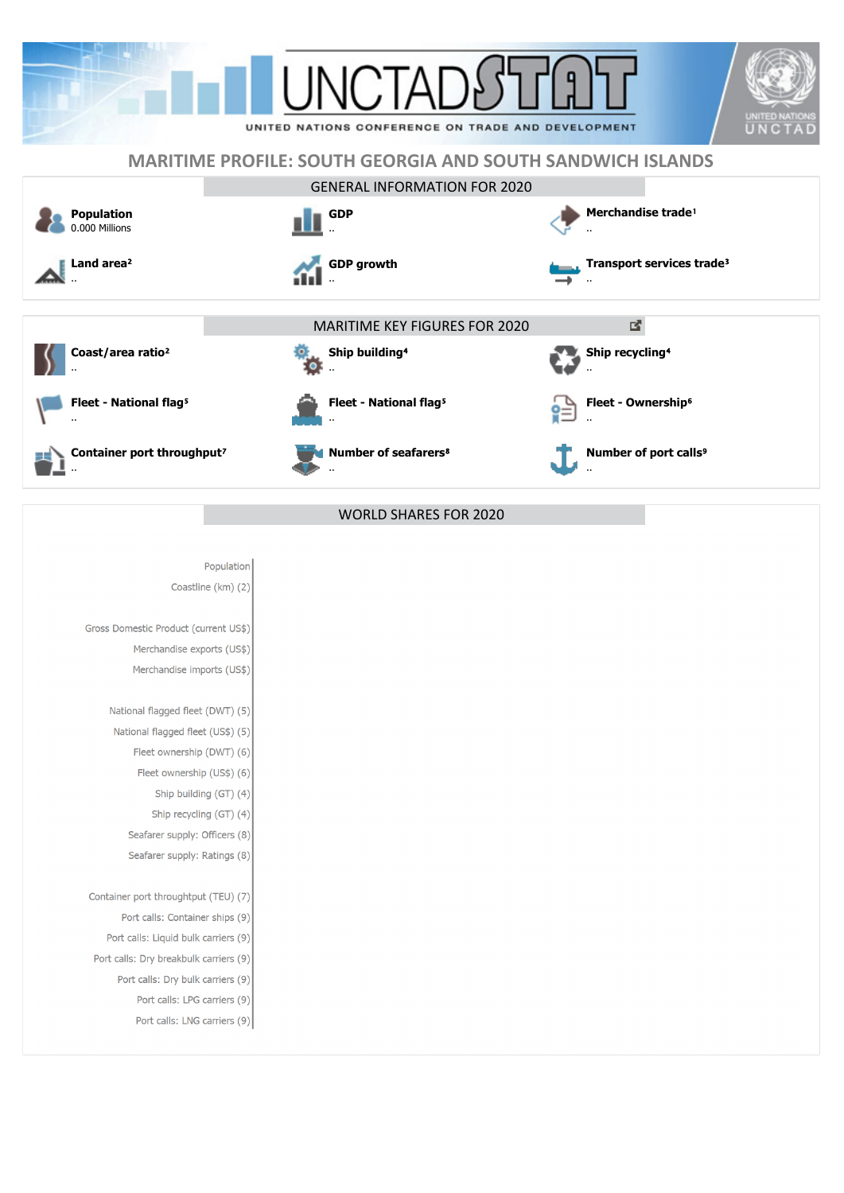

## **MARITIME PROFILE: SOUTH GEORGIA AND SOUTH SANDWICH ISLANDS**



Population Coastline (km) (2)

Gross Domestic Product (current US\$) Merchandise exports (US\$) Merchandise imports (US\$)

> National flagged fleet (DWT) (5) National flagged fleet (US\$) (5) Fleet ownership (DWT) (6) Fleet ownership (US\$) (6) Ship building (GT) (4)

Ship recycling (GT) (4) Seafarer supply: Officers (8) Seafarer supply: Ratings (8)

Container port throughtput (TEU) (7) Port calls: Container ships (9) Port calls: Liquid bulk carriers (9) Port calls: Dry breakbulk carriers (9) Port calls: Dry bulk carriers (9) Port calls: LPG carriers (9) Port calls: LNG carriers (9)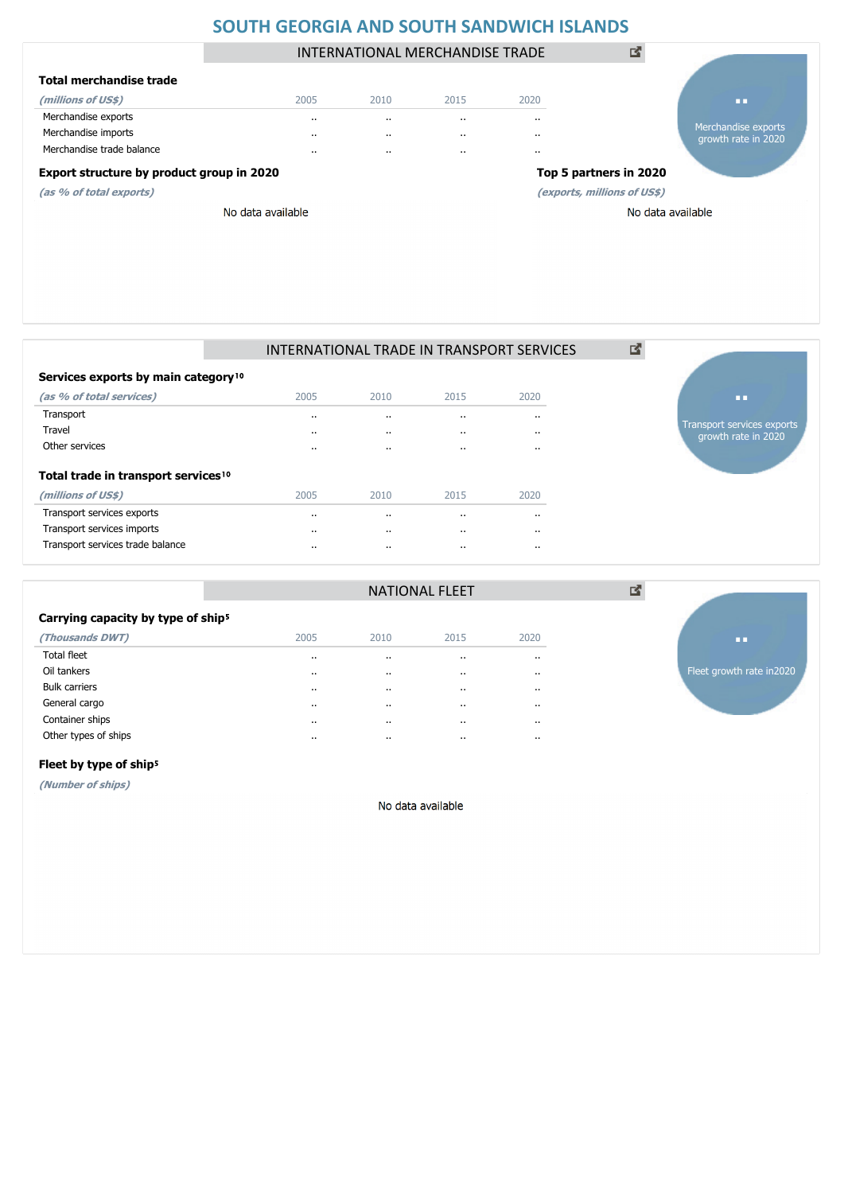### **SOUTH GEORGIA AND SOUTH SANDWICH ISLANDS**

INTERNATIONAL MERCHANDISE TRADE

図

### **Total merchandise trade**

**(as % of total exports)**

| (millions of US\$)        | 2005 | 2010     | 2015     | 2020 |
|---------------------------|------|----------|----------|------|
| Merchandise exports       |      | $\cdots$ | $\cdots$ | .,   |
| Merchandise imports       |      |          | $\cdot$  |      |
| Merchandise trade balance |      |          | $\cdot$  |      |
|                           |      |          |          |      |

# **Export structure by product group in 2020 Top 5 partners in 2020**

**(exports, millions of US\$)**

No data available



### INTERNATIONAL TRADE IN TRANSPORT SERVICES

図

| Services exports by main category <sup>10</sup> |           |          |         |      |
|-------------------------------------------------|-----------|----------|---------|------|
| (as % of total services)                        | 2005      | 2010     | 2015    | 2020 |
| Transport                                       |           | $\cdots$ |         |      |
| Travel                                          | $\cdot$ . | $\cdots$ | $\cdot$ |      |
| Other services                                  | $\cdot$ . | $\cdots$ | $\cdot$ |      |
|                                                 |           |          |         |      |

### **Total trade in transport services**<sup>10</sup>

| (millions of US\$)               | 2005     | 2010    | 2015     | 2020 |
|----------------------------------|----------|---------|----------|------|
| Transport services exports       | $\cdots$ | $\cdot$ |          |      |
| Transport services imports       | $\cdots$ | $\cdot$ | $\cdots$ |      |
| Transport services trade balance | $\cdots$ | $\cdot$ | $\cdots$ |      |



**..**

Merchandise exports growth rate in 2020

## Carrying capacity by type of ship<sup>5</sup> **(Thousands DWT)** 2005 2010 2015 2020

| Total fleet          | $\cdot$   | $\cdot$   | $\cdots$ | $\cdots$ |
|----------------------|-----------|-----------|----------|----------|
| Oil tankers          | $\cdots$  |           |          | $\cdots$ |
| <b>Bulk carriers</b> | $\cdot$ . | $\cdot$ . | $\cdots$ | $\cdots$ |
| General cargo        | $\cdots$  | $\cdots$  | $\cdots$ | $\cdots$ |
| Container ships      | $\cdots$  | $\cdot$   |          | $\cdots$ |
| Other types of ships | $\cdots$  | $\cdots$  | $\cdots$ | $\cdots$ |
|                      |           |           |          |          |



### Fleet by type of ship<sup>5</sup>

**(Number of ships)**

No data available

NATIONAL FLEET

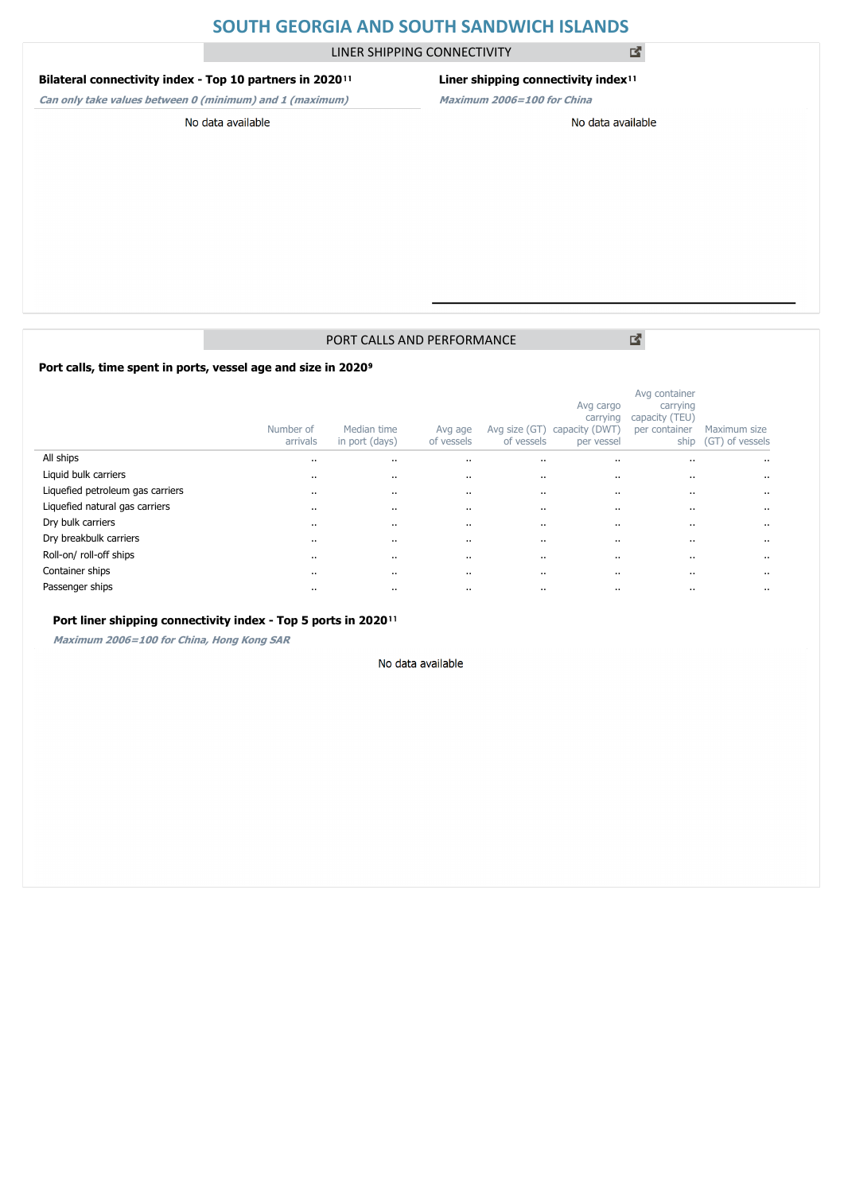### **SOUTH GEORGIA AND SOUTH SANDWICH ISLANDS**

LINER SHIPPING CONNECTIVITY

#### **Bilateral connectivity index - Top 10 partners in 2020**<sup>11</sup>

### **Liner shipping connectivity index**<sup>11</sup>

**Can only take values between 0 (minimum) and 1 (maximum)**

## **Maximum 2006=100 for China**

No data available

### No data available

### PORT CALLS AND PERFORMANCE

Port calls, time spent in ports, vessel age and size in 2020<sup>9</sup>

|                                  | Number of<br>arrivals | Median time<br>in port (days) | Avg age<br>of vessels | Avg size (GT)<br>of vessels | Avg cargo<br>carrying<br>capacity (DWT<br>per vessel | Avg container<br>carrying<br>capacity (TEU)<br>per container<br>ship | Maximum size<br>(GT) of vessels |
|----------------------------------|-----------------------|-------------------------------|-----------------------|-----------------------------|------------------------------------------------------|----------------------------------------------------------------------|---------------------------------|
| All ships                        | $\cdot$ .             |                               |                       | $\cdots$                    | $\cdots$                                             |                                                                      | $\cdots$                        |
| Liquid bulk carriers             | $\cdots$              |                               | $\ddot{\phantom{a}}$  |                             | $\cdots$                                             |                                                                      | $\ddot{\phantom{0}}$            |
| Liquefied petroleum gas carriers | $\cdots$              |                               |                       | $\cdots$                    | $\cdots$                                             |                                                                      | $\cdots$                        |
| Liquefied natural gas carriers   | $\cdot$ .             |                               |                       |                             |                                                      | $\cdots$                                                             | $\cdots$                        |
| Dry bulk carriers                | $\cdots$              |                               | $\ddot{\phantom{a}}$  |                             |                                                      | $\cdots$                                                             | $\cdots$                        |
| Dry breakbulk carriers           | $\cdots$              |                               |                       |                             |                                                      | $\cdots$                                                             | $\cdots$                        |
| Roll-on/roll-off ships           | $\cdot$               |                               | $\ddot{\phantom{a}}$  |                             | $\ddotsc$                                            | $\cdots$                                                             | $\ddotsc$                       |
| Container ships                  | $\cdots$              |                               |                       | $\cdots$                    |                                                      | $\cdots$                                                             | $\cdots$                        |
| Passenger ships                  | $\cdots$              |                               | $\ddot{\phantom{a}}$  |                             | $\cdot$                                              |                                                                      | $\ddot{\phantom{0}}$            |

### Port liner shipping connectivity index - Top 5 ports in 2020<sup>11</sup>

**Maximum 2006=100 for China, Hong Kong SAR**

#### No data available

図

図